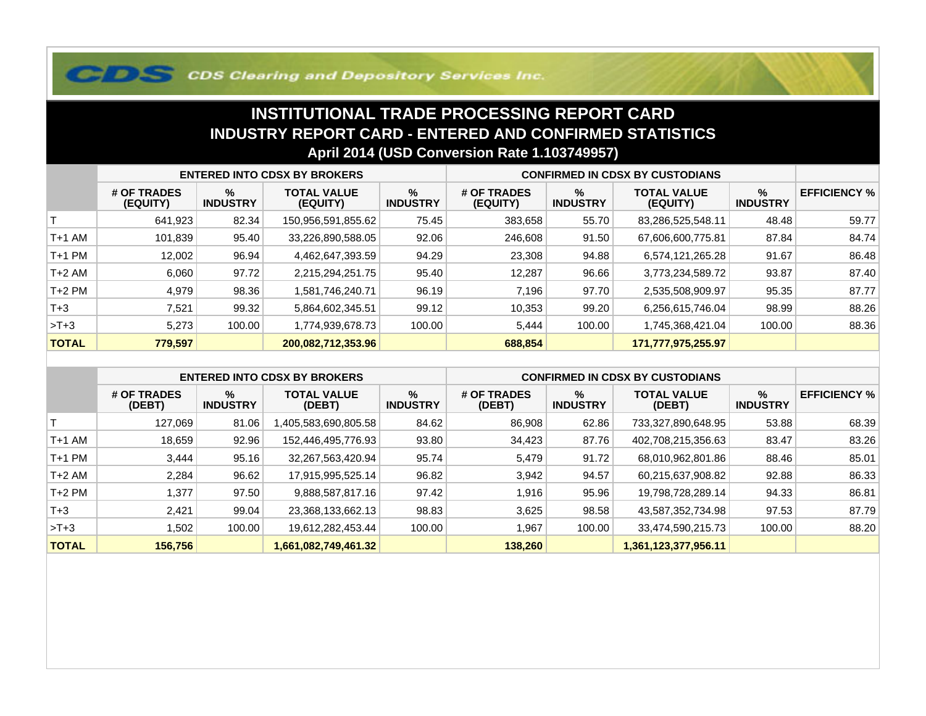## **COS Clearing and Depository Services Inc.**

## **INSTITUTIONAL TRADE PROCESSING REPORT CARD INDUSTRY REPORT CARD - ENTERED AND CONFIRMED STATISTICSApril 2014 (USD Conversion Rate 1.103749957)**

|              | <b>ENTERED INTO CDSX BY BROKERS</b> |                         |                                |                         | <b>CONFIRMED IN CDSX BY CUSTODIANS</b> |                         |                                |                      |                     |
|--------------|-------------------------------------|-------------------------|--------------------------------|-------------------------|----------------------------------------|-------------------------|--------------------------------|----------------------|---------------------|
|              | # OF TRADES<br>(EQUITY)             | $\%$<br><b>INDUSTRY</b> | <b>TOTAL VALUE</b><br>(EQUITY) | $\%$<br><b>INDUSTRY</b> | # OF TRADES<br>(EQUITY)                | $\%$<br><b>INDUSTRY</b> | <b>TOTAL VALUE</b><br>(EQUITY) | %<br><b>INDUSTRY</b> | <b>EFFICIENCY %</b> |
|              | 641,923                             | 82.34                   | 150,956,591,855.62             | 75.45                   | 383,658                                | 55.70                   | 83,286,525,548.11              | 48.48                | 59.77               |
| T+1 AM       | 101,839                             | 95.40                   | 33,226,890,588.05              | 92.06                   | 246,608                                | 91.50                   | 67,606,600,775.81              | 87.84                | 84.74               |
| T+1 PM       | 12,002                              | 96.94                   | 4,462,647,393.59               | 94.29                   | 23,308                                 | 94.88                   | 6,574,121,265.28               | 91.67                | 86.48               |
| T+2 AM       | 6,060                               | 97.72                   | 2,215,294,251.75               | 95.40                   | 12,287                                 | 96.66                   | 3,773,234,589.72               | 93.87                | 87.40               |
| $T+2$ PM     | 4,979                               | 98.36                   | 1,581,746,240.71               | 96.19                   | 7,196                                  | 97.70                   | 2,535,508,909.97               | 95.35                | 87.77               |
| $T + 3$      | 7,521                               | 99.32                   | 5,864,602,345.51               | 99.12                   | 10,353                                 | 99.20                   | 6,256,615,746.04               | 98.99                | 88.26               |
| $>T+3$       | 5,273                               | 100.00                  | 1,774,939,678.73               | 100.00                  | 5,444                                  | 100.00                  | 1,745,368,421.04               | 100.00               | 88.36               |
| <b>TOTAL</b> | 779,597                             |                         | 200,082,712,353.96             |                         | 688,854                                |                         | 171,777,975,255.97             |                      |                     |

|              | <b>ENTERED INTO CDSX BY BROKERS</b> |                         |                              |                         | <b>CONFIRMED IN CDSX BY CUSTODIANS</b> |                         |                              |                      |                     |
|--------------|-------------------------------------|-------------------------|------------------------------|-------------------------|----------------------------------------|-------------------------|------------------------------|----------------------|---------------------|
|              | # OF TRADES<br>(DEBT)               | $\%$<br><b>INDUSTRY</b> | <b>TOTAL VALUE</b><br>(DEBT) | $\%$<br><b>INDUSTRY</b> | # OF TRADES<br>(DEBT)                  | $\%$<br><b>INDUSTRY</b> | <b>TOTAL VALUE</b><br>(DEBT) | %<br><b>INDUSTRY</b> | <b>EFFICIENCY %</b> |
|              | 127.069                             | 81.06                   | 1,405,583,690,805.58         | 84.62                   | 86,908                                 | 62.86                   | 733,327,890,648.95           | 53.88                | 68.39               |
| $T+1$ AM     | 18.659                              | 92.96                   | 152,446,495,776.93           | 93.80                   | 34,423                                 | 87.76                   | 402,708,215,356.63           | 83.47                | 83.26               |
| $T+1$ PM     | 3,444                               | 95.16                   | 32,267,563,420.94            | 95.74                   | 5,479                                  | 91.72                   | 68,010,962,801.86            | 88.46                | 85.01               |
| $T+2$ AM     | 2,284                               | 96.62                   | 17,915,995,525.14            | 96.82                   | 3,942                                  | 94.57                   | 60,215,637,908.82            | 92.88                | 86.33               |
| $T+2$ PM     | 1,377                               | 97.50                   | 9,888,587,817.16             | 97.42                   | 916,                                   | 95.96                   | 19,798,728,289.14            | 94.33                | 86.81               |
| $T + 3$      | 2,421                               | 99.04                   | 23,368,133,662.13            | 98.83                   | 3,625                                  | 98.58                   | 43,587,352,734.98            | 97.53                | 87.79               |
| $>T+3$       | 1,502                               | 100.00                  | 19,612,282,453.44            | 100.00                  | .967                                   | 100.00                  | 33,474,590,215.73            | 100.00               | 88.20               |
| <b>TOTAL</b> | 156,756                             |                         | 1,661,082,749,461.32         |                         | 138,260                                |                         | 1,361,123,377,956.11         |                      |                     |